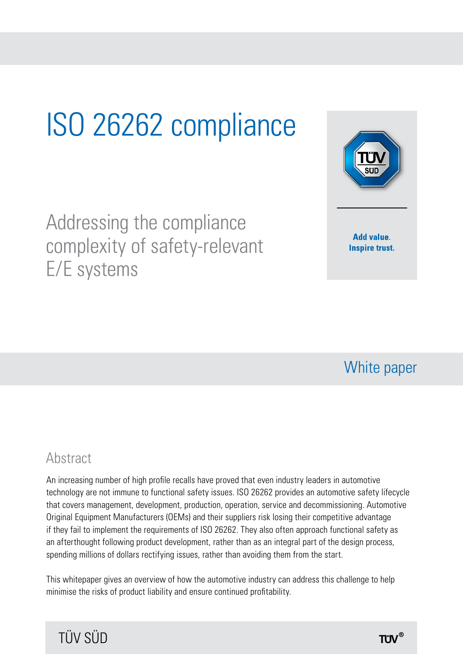# ISO 26262 compliance

Addressing the compliance complexity of safety-relevant E/E systems



### White paper

### **Abstract**

An increasing number of high profile recalls have proved that even industry leaders in automotive technology are not immune to functional safety issues. ISO 26262 provides an automotive safety lifecycle that covers management, development, production, operation, service and decommissioning. Automotive Original Equipment Manufacturers (OEMs) and their suppliers risk losing their competitive advantage if they fail to implement the requirements of ISO 26262. They also often approach functional safety as an afterthought following product development, rather than as an integral part of the design process, spending millions of dollars rectifying issues, rather than avoiding them from the start.

This whitepaper gives an overview of how the automotive industry can address this challenge to help minimise the risks of product liability and ensure continued profitability.

### TÜV SÜD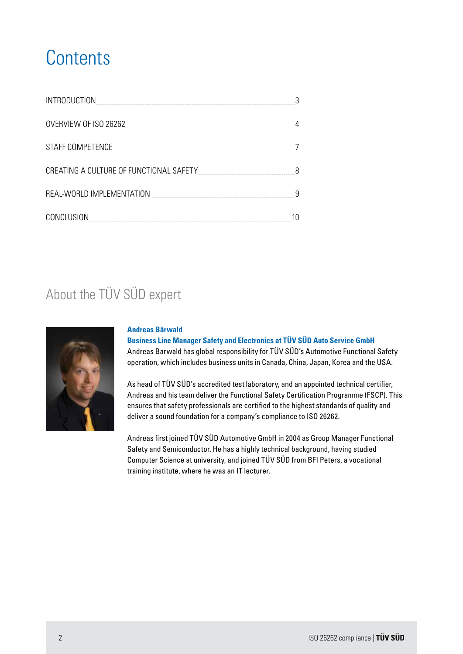## **Contents**

| INTRODUCTION                            |  |  |
|-----------------------------------------|--|--|
| OVERVIEW OF ISO 26262                   |  |  |
| STAFF COMPETENCE                        |  |  |
| CREATING A CULTURE OF FUNCTIONAL SAFETY |  |  |
| REAL-WORLD IMPLEMENTATION               |  |  |
| CONCLUSION                              |  |  |

### About the TÜV SÜD expert



#### **Andreas Bärwald**

**Business Line Manager Safety and Electronics at TÜV SÜD Auto Service GmbH** Andreas Barwald has global responsibility for TÜV SÜD's Automotive Functional Safety operation, which includes business units in Canada, China, Japan, Korea and the USA.

As head of TÜV SÜD's accredited test laboratory, and an appointed technical certifier, Andreas and his team deliver the Functional Safety Certification Programme (FSCP). This ensures that safety professionals are certified to the highest standards of quality and deliver a sound foundation for a company's compliance to ISO 26262.

Andreas first joined TÜV SÜD Automotive GmbH in 2004 as Group Manager Functional Safety and Semiconductor. He has a highly technical background, having studied Computer Science at university, and joined TÜV SÜD from BFI Peters, a vocational training institute, where he was an IT lecturer.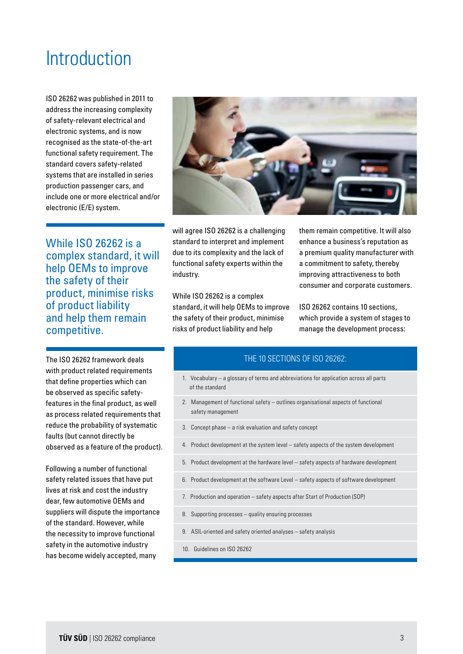### **Introduction**

ISO 26262 was published in 2011 to address the increasing complexity of safety-relevant electrical and electronic systems, and is now recognised as the state-of-the-art functional safety requirement. The standard covers safety-related systems that are installed in series production passenger cars, and include one or more electrical and/or electronic (E/E) system.

While ISO 26262 is a complex standard, it will help OEMs to improve the safety of their product, minimise risks of product liability and help them remain competitive.

The ISO 26262 framework deals with product related requirements that define properties which can be observed as specific safetyfeatures in the final product, as well as process related requirements that reduce the probability of systematic faults (but cannot directly be observed as a feature of the product).

Following a number of functional safety related issues that have put lives at risk and cost the industry dear, few automotive OEMs and suppliers will dispute the importance of the standard. However, while the necessity to improve functional safety in the automotive industry has become widely accepted, many



will agree ISO 26262 is a challenging standard to interpret and implement due to its complexity and the lack of functional safety experts within the industry.

While ISO 26262 is a complex standard, it will help OEMs to improve the safety of their product, minimise risks of product liability and help

them remain competitive. It will also enhance a business's reputation as a premium quality manufacturer with a commitment to safety, thereby improving attractiveness to both consumer and corporate customers.

ISO 26262 contains 10 sections, which provide a system of stages to manage the development process:

#### THE 10 SECTIONS OF ISO 26262:

- 1. Vocabulary a glossary of terms and abbreviations for application across all parts of the standard
- 2. Management of functional safety outlines organisational aspects of functional safety management
- 3. Concept phase a risk evaluation and safety concept
- 4. Product development at the system level safety aspects of the system development
- 5. Product development at the hardware level safety aspects of hardware development
- 6. Product development at the software Level safety aspects of software development
- 7. Production and operation safety aspects after Start of Production (SOP)
- 8. Supporting processes quality ensuring processes
- 9. ASIL-oriented and safety oriented analyses safety analysis
- 10. Guidelines on ISO 26262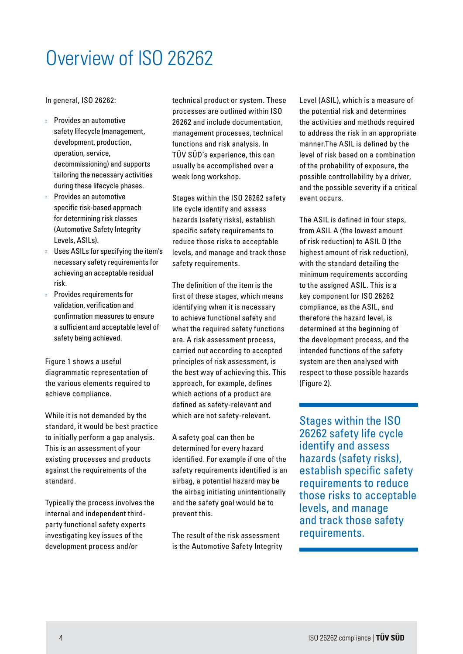# Overview of ISO 26262

In general, ISO 26262:

Provides an automotive safety lifecycle (management, development, production, operation, service, decommissioning) and supports tailoring the necessary activities during these lifecycle phases. Provides an automotive specific risk-based approach for determining risk classes (Automotive Safety Integrity Levels, ASILs).

Uses ASILs for specifying the item's necessary safety requirements for achieving an acceptable residual risk.

Provides requirements for validation, verification and confirmation measures to ensure a sufficient and acceptable level of safety being achieved.

Figure 1 shows a useful diagrammatic representation of the various elements required to achieve compliance.

While it is not demanded by the standard, it would be best practice to initially perform a gap analysis. This is an assessment of your existing processes and products against the requirements of the standard.

Typically the process involves the internal and independent thirdparty functional safety experts investigating key issues of the development process and/or

technical product or system. These processes are outlined within ISO 26262 and include documentation, management processes, technical functions and risk analysis. In TÜV SÜD's experience, this can usually be accomplished over a week long workshop.

Stages within the ISO 26262 safety life cycle identify and assess hazards (safety risks), establish specific safety requirements to reduce those risks to acceptable levels, and manage and track those safety requirements.

The definition of the item is the first of these stages, which means identifying when it is necessary to achieve functional safety and what the required safety functions are. A risk assessment process, carried out according to accepted principles of risk assessment, is the best way of achieving this. This approach, for example, defines which actions of a product are defined as safety-relevant and which are not safety-relevant.

A safety goal can then be determined for every hazard identified. For example if one of the safety requirements identified is an airbag, a potential hazard may be the airbag initiating unintentionally and the safety goal would be to prevent this.

The result of the risk assessment is the Automotive Safety Integrity Level (ASIL), which is a measure of the potential risk and determines the activities and methods required to address the risk in an appropriate manner.The ASIL is defined by the level of risk based on a combination of the probability of exposure, the possible controllability by a driver, and the possible severity if a critical event occurs.

The ASIL is defined in four steps, from ASIL A (the lowest amount of risk reduction) to ASIL D (the highest amount of risk reduction), with the standard detailing the minimum requirements according to the assigned ASIL. This is a key component for ISO 26262 compliance, as the ASIL, and therefore the hazard level, is determined at the beginning of the development process, and the intended functions of the safety system are then analysed with respect to those possible hazards (Figure 2).

Stages within the ISO 26262 safety life cycle identify and assess hazards (safety risks), establish specific safety requirements to reduce those risks to acceptable levels, and manage and track those safety requirements.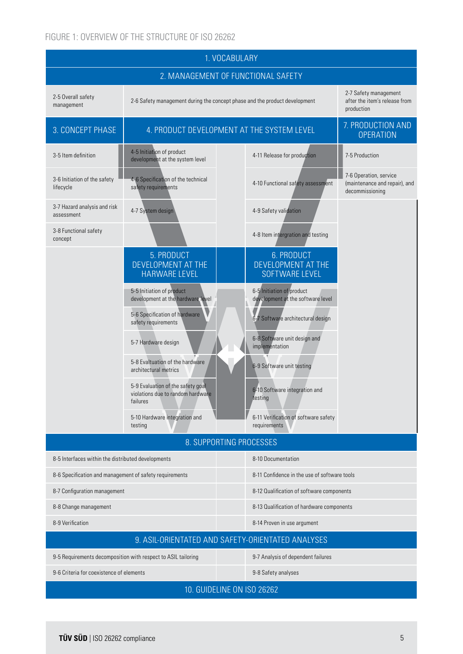#### FIGURE 1: OVERVIEW OF THE STRUCTURE OF ISO 26262

| 1. VOCABULARY                                                                                       |                                                                                                         |                                                                |                                                                            |
|-----------------------------------------------------------------------------------------------------|---------------------------------------------------------------------------------------------------------|----------------------------------------------------------------|----------------------------------------------------------------------------|
| 2. MANAGEMENT OF FUNCTIONAL SAFETY                                                                  |                                                                                                         |                                                                |                                                                            |
| 2-5 Overall safety<br>management                                                                    | 2-6 Safety management during the concept phase and the product development                              |                                                                | 2-7 Safety management<br>after the item's release from<br>production       |
| 3. CONCEPT PHASE                                                                                    | 4. PRODUCT DEVELOPMENT AT THE SYSTEM LEVEL                                                              |                                                                | 7. PRODUCTION AND<br><b>OPERATION</b>                                      |
| 3-5 Item definition                                                                                 | 4-5 Initiation of product<br>development at the system level                                            | 4-11 Release for production                                    | 7-5 Production                                                             |
| 3-6 Initiation of the safety<br>lifecycle                                                           | 4-6 Specification of the technical<br>safety requirements                                               | 4-10 Functional safety assessment                              | 7-6 Operation, service<br>(maintenance and repair), and<br>decommissioning |
| 3-7 Hazard analysis and risk<br>assessment                                                          | 4-7 System design                                                                                       | 4-9 Safety validation                                          |                                                                            |
| 3-8 Functional safety<br>concept                                                                    |                                                                                                         | 4-8 Item intergration and testing                              |                                                                            |
|                                                                                                     | 5. PRODUCT<br>DEVELOPMENT AT THE<br><b>HARWARE LEVEL</b>                                                | 6. PRODUCT<br>DEVELOPMENT AT THE<br><b>SOFTWARE LEVEL</b>      |                                                                            |
|                                                                                                     | 5-5 Initiation of product<br>development at the hardware level                                          | 6-5 Initiation of product<br>development at the software level |                                                                            |
|                                                                                                     | 5-6 Specification of hardware<br>safety requirements                                                    | 6-7 Software architectural design                              |                                                                            |
|                                                                                                     | 5-7 Hardware design                                                                                     | 6-8 Software unit design and<br>implementation                 |                                                                            |
|                                                                                                     | 5-8 Evaltuation of the hardware<br>architectural metrics                                                | 6-9 Software unit testing                                      |                                                                            |
|                                                                                                     | 5-9 Evaluation of the safety goal<br>violations due to random hardware<br>failures                      | 6-10 Software integration and<br>testing                       |                                                                            |
|                                                                                                     | 5-10 Hardware integration and<br>testing                                                                | 6-11 Verification of software safety<br>requirements           |                                                                            |
| 8. SUPPORTING PROCESSES                                                                             |                                                                                                         |                                                                |                                                                            |
| 8-5 Interfaces within the distributed developments<br>8-10 Documentation                            |                                                                                                         |                                                                |                                                                            |
|                                                                                                     | 8-11 Confidence in the use of software tools<br>8-6 Specification and management of safety requirements |                                                                |                                                                            |
| 8-7 Configuration management<br>8-12 Qualification of software components                           |                                                                                                         |                                                                |                                                                            |
| 8-8 Change management<br>8-13 Qualification of hardware components                                  |                                                                                                         |                                                                |                                                                            |
| 8-9 Verification<br>8-14 Proven in use argument                                                     |                                                                                                         |                                                                |                                                                            |
| 9. ASIL-ORIENTATED AND SAFETY-ORIENTATED ANALYSES                                                   |                                                                                                         |                                                                |                                                                            |
| 9-5 Requirements decomposition with respect to ASIL tailoring<br>9-7 Analysis of dependent failures |                                                                                                         |                                                                |                                                                            |
| 9-6 Criteria for coexistence of elements<br>9-8 Safety analyses                                     |                                                                                                         |                                                                |                                                                            |
| 10. GUIDELINE ON ISO 26262                                                                          |                                                                                                         |                                                                |                                                                            |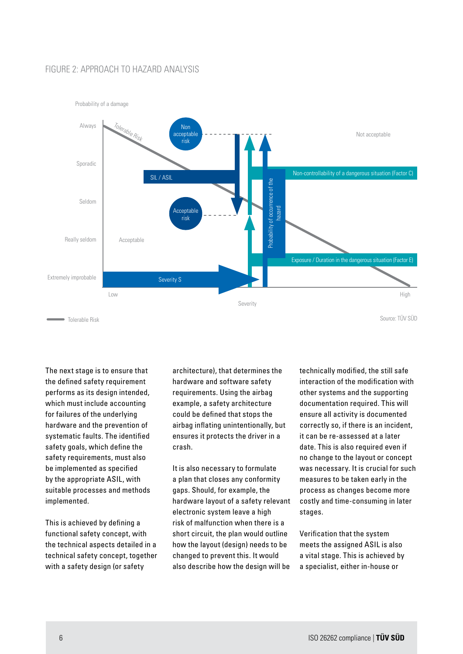#### FIGURE 2: APPROACH TO HAZARD ANALYSIS



The next stage is to ensure that the defined safety requirement performs as its design intended, which must include accounting for failures of the underlying hardware and the prevention of systematic faults. The identified safety goals, which define the safety requirements, must also be implemented as specified by the appropriate ASIL, with suitable processes and methods implemented.

This is achieved by defining a functional safety concept, with the technical aspects detailed in a technical safety concept, together with a safety design (or safety

architecture), that determines the hardware and software safety requirements. Using the airbag example, a safety architecture could be defined that stops the airbag inflating unintentionally, but ensures it protects the driver in a crash.

It is also necessary to formulate a plan that closes any conformity gaps. Should, for example, the hardware layout of a safety relevant electronic system leave a high risk of malfunction when there is a short circuit, the plan would outline how the layout (design) needs to be changed to prevent this. It would also describe how the design will be

technically modified, the still safe interaction of the modification with other systems and the supporting documentation required. This will ensure all activity is documented correctly so, if there is an incident, it can be re-assessed at a later date. This is also required even if no change to the layout or concept was necessary. It is crucial for such measures to be taken early in the process as changes become more costly and time-consuming in later stages.

Verification that the system meets the assigned ASIL is also a vital stage. This is achieved by a specialist, either in-house or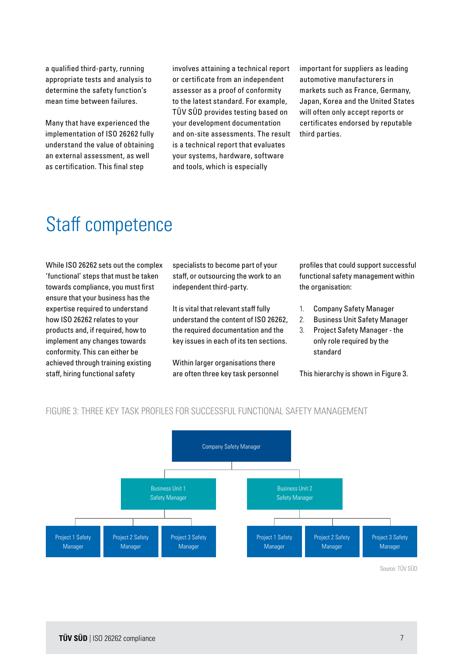a qualified third-party, running appropriate tests and analysis to determine the safety function's mean time between failures.

Many that have experienced the implementation of ISO 26262 fully understand the value of obtaining an external assessment, as well as certification. This final step

involves attaining a technical report or certificate from an independent assessor as a proof of conformity to the latest standard. For example, TÜV SÜD provides testing based on your development documentation and on-site assessments. The result is a technical report that evaluates your systems, hardware, software and tools, which is especially

important for suppliers as leading automotive manufacturers in markets such as France, Germany, Japan, Korea and the United States will often only accept reports or certificates endorsed by reputable third parties.

### Staff competence

While ISO 26262 sets out the complex 'functional' steps that must be taken towards compliance, you must first ensure that your business has the expertise required to understand how ISO 26262 relates to your products and, if required, how to implement any changes towards conformity. This can either be achieved through training existing staff, hiring functional safety

specialists to become part of your staff, or outsourcing the work to an independent third-party.

It is vital that relevant staff fully understand the content of ISO 26262, the required documentation and the key issues in each of its ten sections.

Within larger organisations there are often three key task personnel profiles that could support successful functional safety management within the organisation:

- 1. Company Safety Manager
- 2. Business Unit Safety Manager
- 3. Project Safety Manager the only role required by the standard

This hierarchy is shown in Figure 3.



#### FIGURE 3: THREE KEY TASK PROFILES FOR SUCCESSFUL FUNCTIONAL SAFETY MANAGEMENT

Source: TÜV SÜD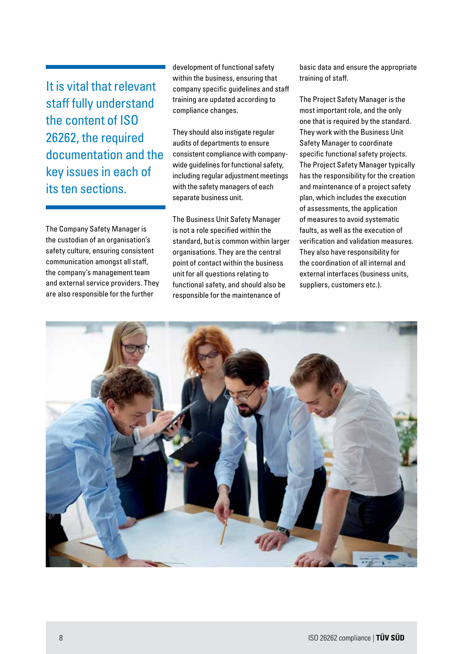It is vital that relevant staff fully understand the content of ISO 26262, the required documentation and the key issues in each of its ten sections.

The Company Safety Manager is the custodian of an organisation's safety culture, ensuring consistent communication amongst all staff, the company's management team and external service providers. They are also responsible for the further

development of functional safety within the business, ensuring that company specific guidelines and staff training are updated according to compliance changes.

They should also instigate regular audits of departments to ensure consistent compliance with companywide guidelines for functional safety, including regular adjustment meetings with the safety managers of each separate business unit.

The Business Unit Safety Manager is not a role specified within the standard, but is common within larger organisations. They are the central point of contact within the business unit for all questions relating to functional safety, and should also be responsible for the maintenance of

basic data and ensure the appropriate training of staff.

The Project Safety Manager is the most important role, and the only one that is required by the standard. They work with the Business Unit Safety Manager to coordinate specific functional safety projects. The Project Safety Manager typically has the responsibility for the creation and maintenance of a project safety plan, which includes the execution of assessments, the application of measures to avoid systematic faults, as well as the execution of verification and validation measures. They also have responsibility for the coordination of all internal and external interfaces (business units, suppliers, customers etc.).

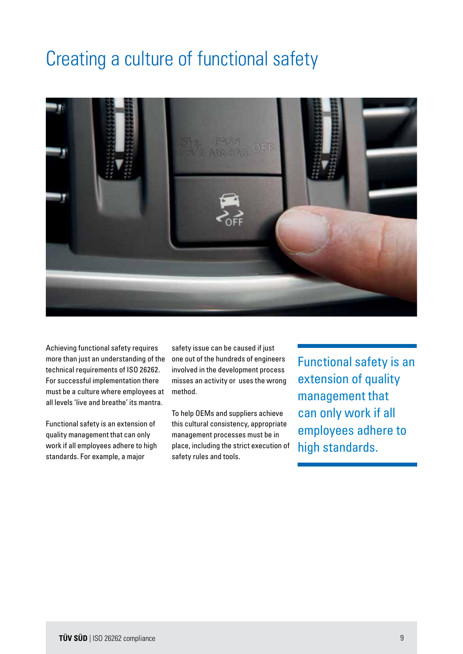### Creating a culture of functional safety



Achieving functional safety requires more than just an understanding of the technical requirements of ISO 26262. For successful implementation there must be a culture where employees at all levels 'live and breathe' its mantra.

Functional safety is an extension of quality management that can only work if all employees adhere to high standards. For example, a major

safety issue can be caused if just one out of the hundreds of engineers involved in the development process misses an activity or uses the wrong method.

To help OEMs and suppliers achieve this cultural consistency, appropriate management processes must be in place, including the strict execution of safety rules and tools.

Functional safety is an extension of quality management that can only work if all employees adhere to high standards.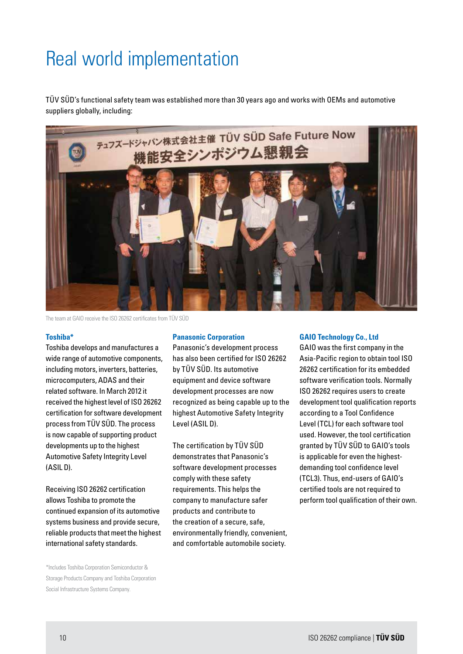# Real world implementation

TÜV SÜD's functional safety team was established more than 30 years ago and works with OEMs and automotive suppliers globally, including:



The team at GAIO receive the ISO 26262 certificates from TÜV SÜD

#### **Toshiba\***

Toshiba develops and manufactures a wide range of automotive components, including motors, inverters, batteries, microcomputers, ADAS and their related software. In March 2012 it received the highest level of ISO 26262 certification for software development process from TÜV SÜD. The process is now capable of supporting product developments up to the highest Automotive Safety Integrity Level (ASIL D).

Receiving ISO 26262 certification allows Toshiba to promote the continued expansion of its automotive systems business and provide secure, reliable products that meet the highest international safety standards.

\*Includes Toshiba Corporation Semiconductor & Storage Products Company and Toshiba Corporation Social Infrastructure Systems Company.

#### **Panasonic Corporation**

Panasonic's development process has also been certified for ISO 26262 by TÜV SÜD. Its automotive equipment and device software development processes are now recognized as being capable up to the highest Automotive Safety Integrity Level (ASIL D).

The certification by TÜV SÜD demonstrates that Panasonic's software development processes comply with these safety requirements. This helps the company to manufacture safer products and contribute to the creation of a secure, safe, environmentally friendly, convenient, and comfortable automobile society.

#### **GAIO Technology Co., Ltd**

GAIO was the first company in the Asia-Pacific region to obtain tool ISO 26262 certification for its embedded software verification tools. Normally ISO 26262 requires users to create development tool qualification reports according to a Tool Confidence Level (TCL) for each software tool used. However, the tool certification granted by TÜV SÜD to GAIO's tools is applicable for even the highestdemanding tool confidence level (TCL3). Thus, end-users of GAIO's certified tools are not required to perform tool qualification of their own.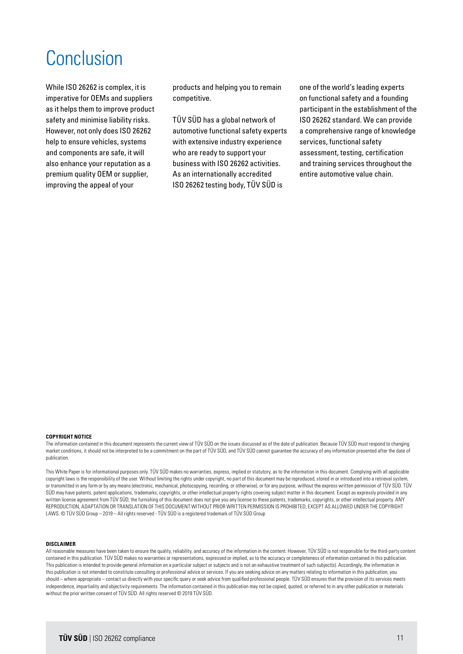## Conclusion

While ISO 26262 is complex, it is imperative for OEMs and suppliers as it helps them to improve product safety and minimise liability risks. However, not only does ISO 26262 help to ensure vehicles, systems and components are safe, it will also enhance your reputation as a premium quality OEM or supplier, improving the appeal of your

products and helping you to remain competitive.

TÜV SÜD has a global network of automotive functional safety experts with extensive industry experience who are ready to support your business with ISO 26262 activities. As an internationally accredited ISO 26262 testing body, TÜV SÜD is

one of the world's leading experts on functional safety and a founding participant in the establishment of the ISO 26262 standard. We can provide a comprehensive range of knowledge services, functional safety assessment, testing, certification and training services throughout the entire automotive value chain.

#### **COPYRIGHT NOTICE**

The information contained in this document represents the current view of TÜV SÜD on the issues discussed as of the date of publication. Because TÜV SÜD must respond to changing market conditions, it should not be interpreted to be a commitment on the part of TÜV SÜD, and TÜV SÜD cannot guarantee the accuracy of any information presented after the date of publication.

This White Paper is for informational purposes only. TÜV SÜD makes no warranties, express, implied or statutory, as to the information in this document. Complying with all applicable copyright laws is the responsibility of the user. Without limiting the rights under copyright, no part of this document may be reproduced, stored in or introduced into a retrieval system, or transmitted in any form or by any means (electronic, mechanical, photocopying, recording, or otherwise), or for any purpose, without the express written permission of TÜV SÜD. TÜV SÜD may have patents, patent applications, trademarks, copyrights, or other intellectual property rights covering subject matter in this document. Except as expressly provided in any written license agreement from TÜV SÜD, the furnishing of this document does not give you any license to these patents, trademarks, copyrights, or other intellectual property. ANY REPRODUCTION, ADAPTATION OR TRANSLATION OF THIS DOCUMENT WITHOUT PRIOR WRITTEN PERMISSION IS PROHIBITED, EXCEPT AS ALLOWED UNDER THE COPYRIGHT LAWS. © TÜV SÜD Group – 2019 – All rights reserved - TÜV SÜD is a registered trademark of TÜV SÜD Group

#### **DISCLAIMER**

All reasonable measures have been taken to ensure the quality, reliability, and accuracy of the information in the content. However, TÜV SÜD is not responsible for the third-party content contained in this publication. TÜV SÜD makes no warranties or representations, expressed or implied, as to the accuracy or completeness of information contained in this publication. This publication is intended to provide general information on a particular subject or subjects and is not an exhaustive treatment of such subject(s). Accordingly, the information in this publication is not intended to constitute consulting or professional advice or services. If you are seeking advice on any matters relating to information in this publication, you should – where appropriate – contact us directly with your specific query or seek advice from qualified professional people. TÜV SÜD ensures that the provision of its services meets independence, impartiality and objectivity requirements. The information contained in this publication may not be copied, quoted, or referred to in any other publication or materials without the prior written consent of TÜV SÜD. All rights reserved © 2019 TÜV SÜD.